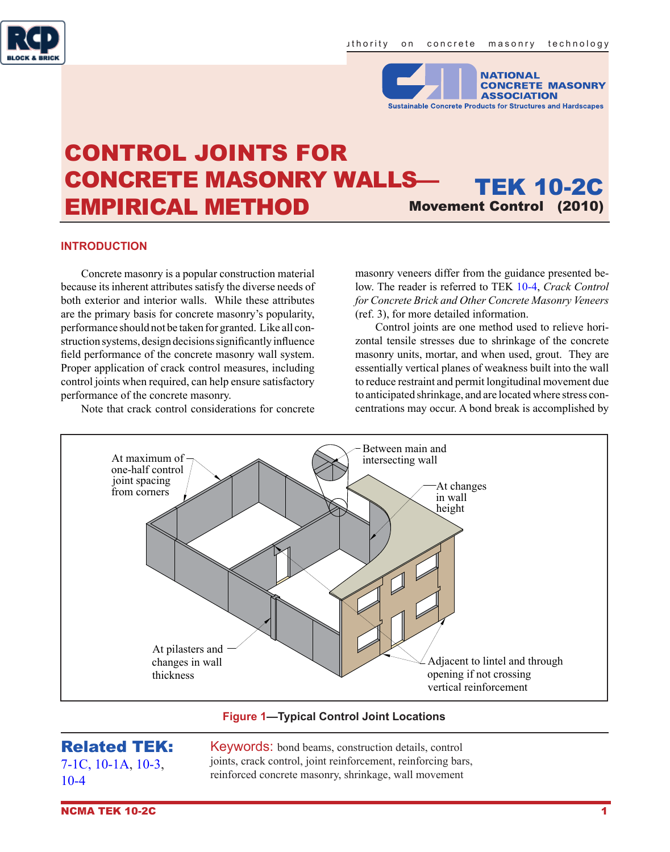



# CONTROL JOINTS FOR CONCRETE MASONRY WALLS— EMPIRICAL METHOD TEK 10-2C Movement Control (2010)

#### **INTRODUCTION**

Concrete masonry is a popular construction material because its inherent attributes satisfy the diverse needs of both exterior and interior walls. While these attributes are the primary basis for concrete masonry's popularity, performance should not be taken for granted. Like all construction systems, design decisions significantly influence field performance of the concrete masonry wall system. Proper application of crack control measures, including control joints when required, can help ensure satisfactory performance of the concrete masonry.

Note that crack control considerations for concrete

masonry veneers differ from the guidance presented below. The reader is referred to TEK [10-4](http://www.ncma.org/etek/Pages/Manualviewer.aspx?filename=TEK 10-04.pdf), *Crack Control for Concrete Brick and Other Concrete Masonry Veneers* (ref. 3), for more detailed information.

Control joints are one method used to relieve horizontal tensile stresses due to shrinkage of the concrete masonry units, mortar, and when used, grout. They are essentially vertical planes of weakness built into the wall to reduce restraint and permit longitudinal movement due to anticipated shrinkage, and are located where stress concentrations may occur. A bond break is accomplished by



**Figure 1—Typical Control Joint Locations**

# Related TEK:

[7-1C](http://www.ncma.org/etek/Pages/Manualviewer.aspx?filename=TEK 07-01C.pdf), [10-1A,](http://www.ncma.org/etek/Pages/Manualviewer.aspx?filename=TEK 10-01A.pdf) [10-3,](http://www.ncma.org/etek/Pages/Manualviewer.aspx?filename=TEK 10-03.pdf) [10-4](http://www.ncma.org/etek/Pages/Manualviewer.aspx?filename=TEK 10-04.pdf)

Keywords: bond beams, construction details, control joints, crack control, joint reinforcement, reinforcing bars, reinforced concrete masonry, shrinkage, wall movement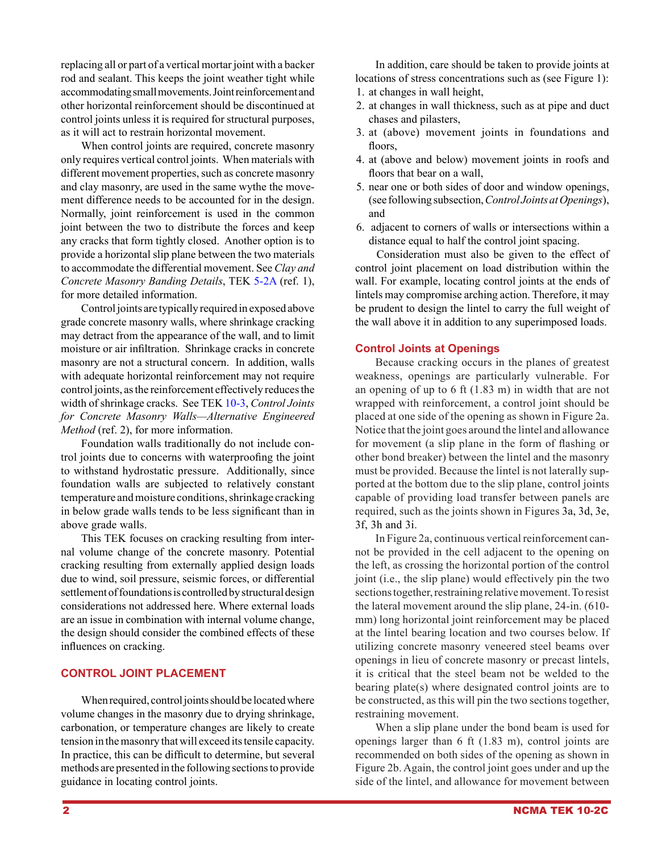replacing all or part of a vertical mortar joint with a backer rod and sealant. This keeps the joint weather tight while accommodating small movements. Joint reinforcement and other horizontal reinforcement should be discontinued at control joints unless it is required for structural purposes, as it will act to restrain horizontal movement.

When control joints are required, concrete masonry only requires vertical control joints. When materials with different movement properties, such as concrete masonry and clay masonry, are used in the same wythe the movement difference needs to be accounted for in the design. Normally, joint reinforcement is used in the common joint between the two to distribute the forces and keep any cracks that form tightly closed. Another option is to provide a horizontal slip plane between the two materials to accommodate the differential movement. See *Clay and Concrete Masonry Banding Details*, TEK [5-2A](http://www.ncma.org/etek/Pages/Manualviewer.aspx?filename=TEK 07-01C.pdf) (ref. 1), for more detailed information.

Control joints are typically required in exposed above grade concrete masonry walls, where shrinkage cracking may detract from the appearance of the wall, and to limit moisture or air infiltration. Shrinkage cracks in concrete masonry are not a structural concern. In addition, walls with adequate horizontal reinforcement may not require control joints, as the reinforcement effectively reduces the width of shrinkage cracks. See TEK [10-3,](http://www.ncma.org/etek/Pages/Manualviewer.aspx?filename=TEK 10-03.pdf) *Control Joints for Concrete Masonry Walls—Alternative Engineered Method* (ref. 2), for more information.

Foundation walls traditionally do not include control joints due to concerns with waterproofing the joint to withstand hydrostatic pressure. Additionally, since foundation walls are subjected to relatively constant temperature and moisture conditions, shrinkage cracking in below grade walls tends to be less significant than in above grade walls.

This TEK focuses on cracking resulting from internal volume change of the concrete masonry. Potential cracking resulting from externally applied design loads due to wind, soil pressure, seismic forces, or differential settlement of foundations is controlled by structural design considerations not addressed here. Where external loads are an issue in combination with internal volume change, the design should consider the combined effects of these influences on cracking.

### **CONTROL JOINT PLACEMENT**

When required, control joints should be located where volume changes in the masonry due to drying shrinkage, carbonation, or temperature changes are likely to create tension in the masonry that will exceed its tensile capacity. In practice, this can be difficult to determine, but several methods are presented in the following sections to provide guidance in locating control joints.

In addition, care should be taken to provide joints at locations of stress concentrations such as (see Figure 1):

- 1. at changes in wall height,
- 2. at changes in wall thickness, such as at pipe and duct chases and pilasters,
- 3. at (above) movement joints in foundations and floors.
- 4. at (above and below) movement joints in roofs and floors that bear on a wall,
- 5. near one or both sides of door and window openings, (see following subsection, *Control Joints at Openings*), and
- 6. adjacent to corners of walls or intersections within a distance equal to half the control joint spacing.

Consideration must also be given to the effect of control joint placement on load distribution within the wall. For example, locating control joints at the ends of lintels may compromise arching action. Therefore, it may be prudent to design the lintel to carry the full weight of the wall above it in addition to any superimposed loads.

#### **Control Joints at Openings**

Because cracking occurs in the planes of greatest weakness, openings are particularly vulnerable. For an opening of up to 6 ft (1.83 m) in width that are not wrapped with reinforcement, a control joint should be placed at one side of the opening as shown in Figure 2a. Notice that the joint goes around the lintel and allowance for movement (a slip plane in the form of flashing or other bond breaker) between the lintel and the masonry must be provided. Because the lintel is not laterally supported at the bottom due to the slip plane, control joints capable of providing load transfer between panels are required, such as the joints shown in Figures 3a, 3d, 3e, 3f, 3h and 3i.

In Figure 2a, continuous vertical reinforcement cannot be provided in the cell adjacent to the opening on the left, as crossing the horizontal portion of the control joint (i.e., the slip plane) would effectively pin the two sections together, restraining relative movement. To resist the lateral movement around the slip plane, 24-in. (610 mm) long horizontal joint reinforcement may be placed at the lintel bearing location and two courses below. If utilizing concrete masonry veneered steel beams over openings in lieu of concrete masonry or precast lintels, it is critical that the steel beam not be welded to the bearing plate(s) where designated control joints are to be constructed, as this will pin the two sections together, restraining movement.

When a slip plane under the bond beam is used for openings larger than 6 ft (1.83 m), control joints are recommended on both sides of the opening as shown in Figure 2b. Again, the control joint goes under and up the side of the lintel, and allowance for movement between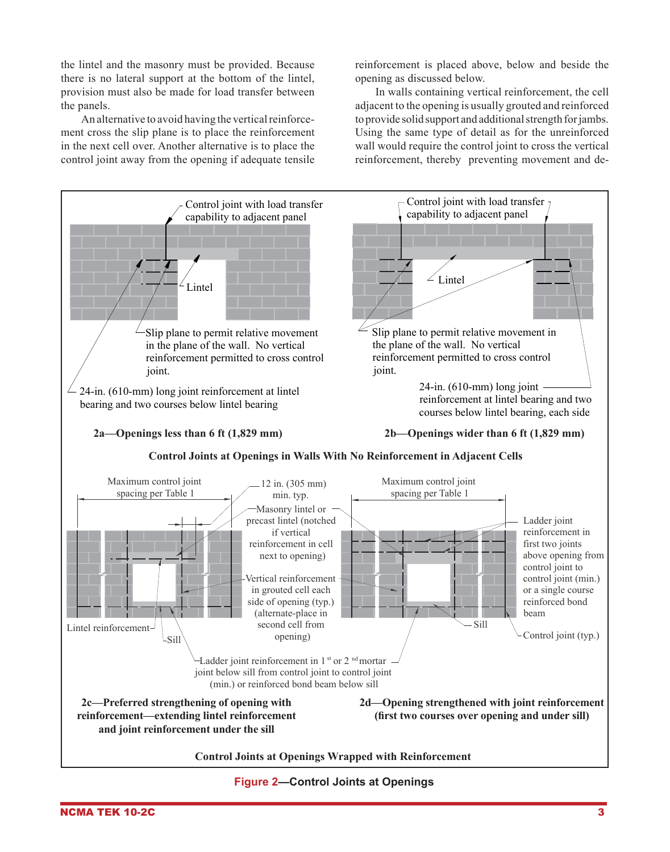the lintel and the masonry must be provided. Because there is no lateral support at the bottom of the lintel, provision must also be made for load transfer between the panels.

An alternative to avoid having the vertical reinforcement cross the slip plane is to place the reinforcement in the next cell over. Another alternative is to place the control joint away from the opening if adequate tensile

reinforcement is placed above, below and beside the opening as discussed below.

In walls containing vertical reinforcement, the cell adjacent to the opening is usually grouted and reinforced to provide solid support and additional strength for jambs. Using the same type of detail as for the unreinforced wall would require the control joint to cross the vertical reinforcement, thereby preventing movement and de-



**Figure 2—Control Joints at Openings**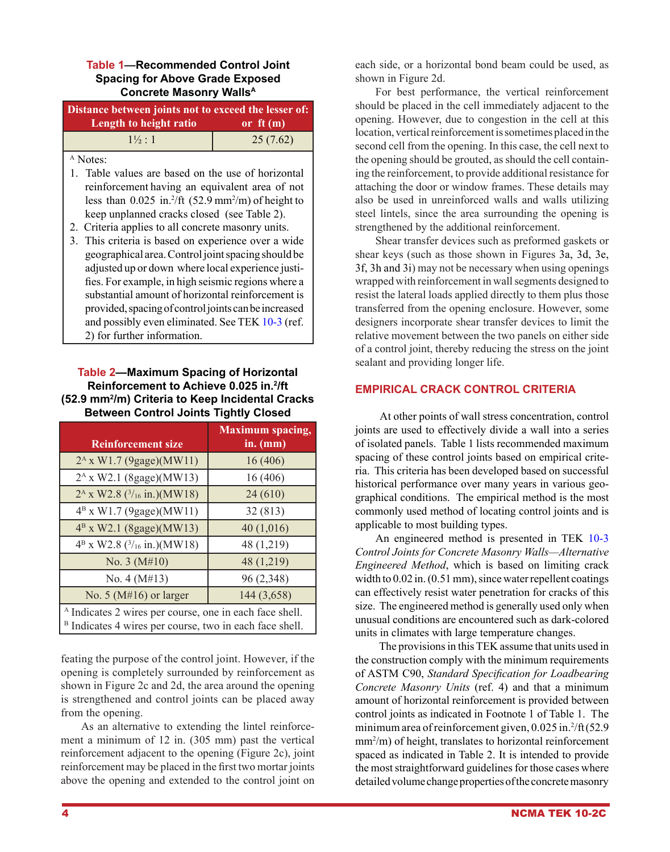#### **Table 1—Recommended Control Joint Spacing for Above Grade Exposed Concrete Masonry WallsA**

| Distance between joints not to exceed the lesser of: |            |
|------------------------------------------------------|------------|
| Length to height ratio                               | or $ft(m)$ |
| $1\frac{1}{2} \cdot 1$                               | 25(7.62)   |

A Notes:

- 1. Table values are based on the use of horizontal reinforcement having an equivalent area of not less than  $0.025$  in.<sup>2</sup>/ft  $(52.9 \text{ mm}^2/\text{m})$  of height to keep unplanned cracks closed (see Table 2).
- 2. Criteria applies to all concrete masonry units.
- 3. This criteria is based on experience over a wide geographical area. Control joint spacing should be adjusted up or down where local experience justifies. For example, in high seismic regions where a substantial amount of horizontal reinforcement is provided, spacing of control joints can be increased and possibly even eliminated. See TEK [10-3](http://www.ncma.org/etek/Pages/Manualviewer.aspx?filename=TEK 10-03.pdf) (ref. 2) for further information.

## **Table 2—Maximum Spacing of Horizontal Reinforcement to Achieve 0.025 in.2 /ft (52.9 mm2 /m) Criteria to Keep Incidental Cracks Between Control Joints Tightly Closed**

| <b>Reinforcement size</b>                                                                                                                | <b>Maximum</b> spacing,<br>$in.$ (mm) |
|------------------------------------------------------------------------------------------------------------------------------------------|---------------------------------------|
| 2 <sup>A</sup> x W1.7 (9gage)(MW11)                                                                                                      | 16(406)                               |
| 2 <sup>A</sup> x W2.1 (8gage)(MW13)                                                                                                      | 16(406)                               |
| $2A$ x W2.8 ( $3/16$ in.)(MW18)                                                                                                          | 24(610)                               |
| $4^{\rm B}$ x W1.7 (9gage)(MW11)                                                                                                         | 32 (813)                              |
| $4^{\rm B}$ x W2.1 (8gage)(MW13)                                                                                                         | 40(1,016)                             |
| $4^B$ x W2.8 $(3/16$ in.)(MW18)                                                                                                          | 48 (1,219)                            |
| No. $3(M#10)$                                                                                                                            | 48 (1,219)                            |
| No. $4(M#13)$                                                                                                                            | 96 (2,348)                            |
| No. 5 ( $M#16$ ) or larger                                                                                                               | 144 (3,658)                           |
| <sup>A</sup> Indicates 2 wires per course, one in each face shell.<br><sup>B</sup> Indicates 4 wires per course, two in each face shell. |                                       |

feating the purpose of the control joint. However, if the opening is completely surrounded by reinforcement as shown in Figure 2c and 2d, the area around the opening is strengthened and control joints can be placed away from the opening.

As an alternative to extending the lintel reinforcement a minimum of 12 in. (305 mm) past the vertical reinforcement adjacent to the opening (Figure 2c), joint reinforcement may be placed in the first two mortar joints above the opening and extended to the control joint on each side, or a horizontal bond beam could be used, as shown in Figure 2d.

For best performance, the vertical reinforcement should be placed in the cell immediately adjacent to the opening. However, due to congestion in the cell at this location, vertical reinforcement is sometimes placed in the second cell from the opening. In this case, the cell next to the opening should be grouted, as should the cell containing the reinforcement, to provide additional resistance for attaching the door or window frames. These details may also be used in unreinforced walls and walls utilizing steel lintels, since the area surrounding the opening is strengthened by the additional reinforcement.

Shear transfer devices such as preformed gaskets or shear keys (such as those shown in Figures 3a, 3d, 3e, 3f, 3h and 3i) may not be necessary when using openings wrapped with reinforcement in wall segments designed to resist the lateral loads applied directly to them plus those transferred from the opening enclosure. However, some designers incorporate shear transfer devices to limit the relative movement between the two panels on either side of a control joint, thereby reducing the stress on the joint sealant and providing longer life.

# **EMPIRICAL CRACK CONTROL CRITERIA**

 At other points of wall stress concentration, control joints are used to effectively divide a wall into a series of isolated panels. Table 1 lists recommended maximum spacing of these control joints based on empirical criteria. This criteria has been developed based on successful historical performance over many years in various geographical conditions. The empirical method is the most commonly used method of locating control joints and is applicable to most building types.

An engineered method is presented in TEK [10-3](http://www.ncma.org/etek/Pages/Manualviewer.aspx?filename=TEK 10-03.pdf) *Control Joints for Concrete Masonry Walls—Alternative Engineered Method*, which is based on limiting crack width to  $0.02$  in.  $(0.51$  mm), since water repellent coatings can effectively resist water penetration for cracks of this size. The engineered method is generally used only when unusual conditions are encountered such as dark-colored units in climates with large temperature changes.

 The provisions in this TEK assume that units used in the construction comply with the minimum requirements of ASTM C90, *Standard Specification for Loadbearing Concrete Masonry Units* (ref. 4) and that a minimum amount of horizontal reinforcement is provided between control joints as indicated in Footnote 1 of Table 1. The minimum area of reinforcement given, 0.025 in.<sup>2</sup>/ft (52.9 mm2 /m) of height, translates to horizontal reinforcement spaced as indicated in Table 2. It is intended to provide the most straightforward guidelines for those cases where detailed volume change properties of the concrete masonry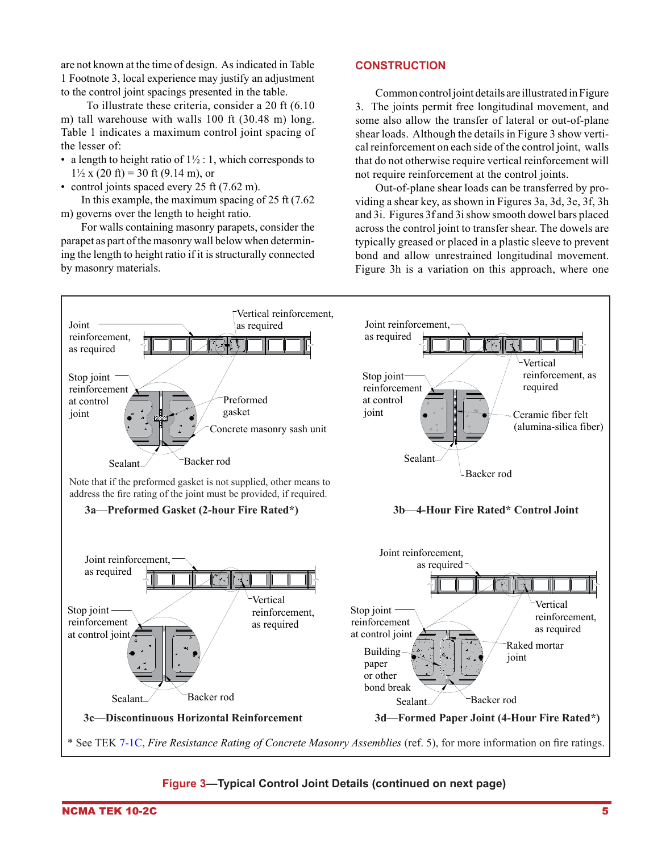are not known at the time of design. As indicated in Table 1 Footnote 3, local experience may justify an adjustment to the control joint spacings presented in the table.

 To illustrate these criteria, consider a 20 ft (6.10 m) tall warehouse with walls 100 ft (30.48 m) long. Table 1 indicates a maximum control joint spacing of the lesser of:

- a length to height ratio of  $1\frac{1}{2}$ : 1, which corresponds to  $1\frac{1}{2}$  x (20 ft) = 30 ft (9.14 m), or
- control joints spaced every 25 ft (7.62 m).

In this example, the maximum spacing of 25 ft (7.62 m) governs over the length to height ratio.

For walls containing masonry parapets, consider the parapet as part of the masonry wall below when determining the length to height ratio if it is structurally connected by masonry materials.

### **Construction**

Common control joint details are illustrated in Figure 3. The joints permit free longitudinal movement, and some also allow the transfer of lateral or out-of-plane shear loads. Although the details in Figure 3 show vertical reinforcement on each side of the control joint, walls that do not otherwise require vertical reinforcement will not require reinforcement at the control joints.

Out-of-plane shear loads can be transferred by providing a shear key, as shown in Figures 3a, 3d, 3e, 3f, 3h and 3i. Figures 3f and 3i show smooth dowel bars placed across the control joint to transfer shear. The dowels are typically greased or placed in a plastic sleeve to prevent bond and allow unrestrained longitudinal movement. Figure 3h is a variation on this approach, where one



# **Figure 3—Typical Control Joint Details (continued on next page)**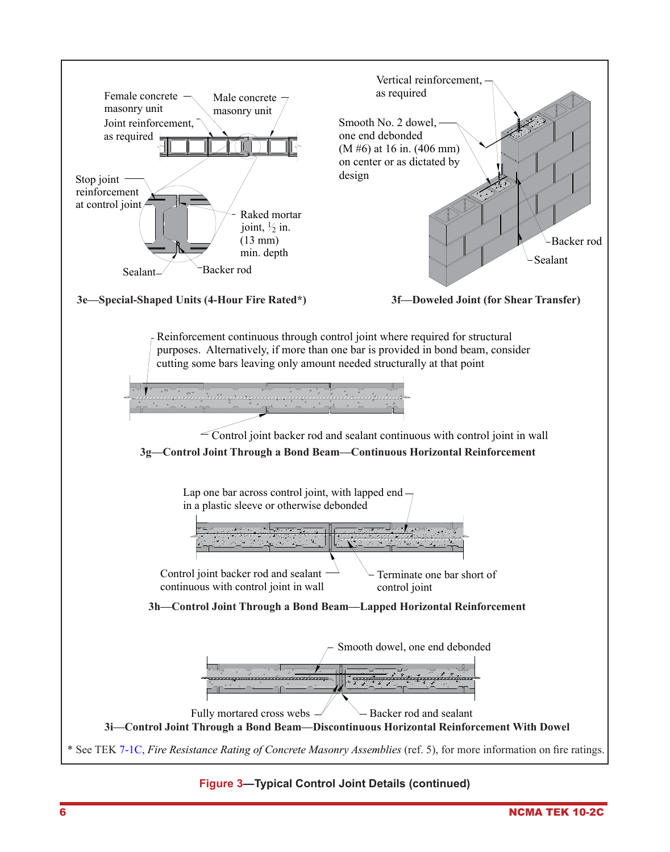

### **Figure 3—Typical Control Joint Details (continued)**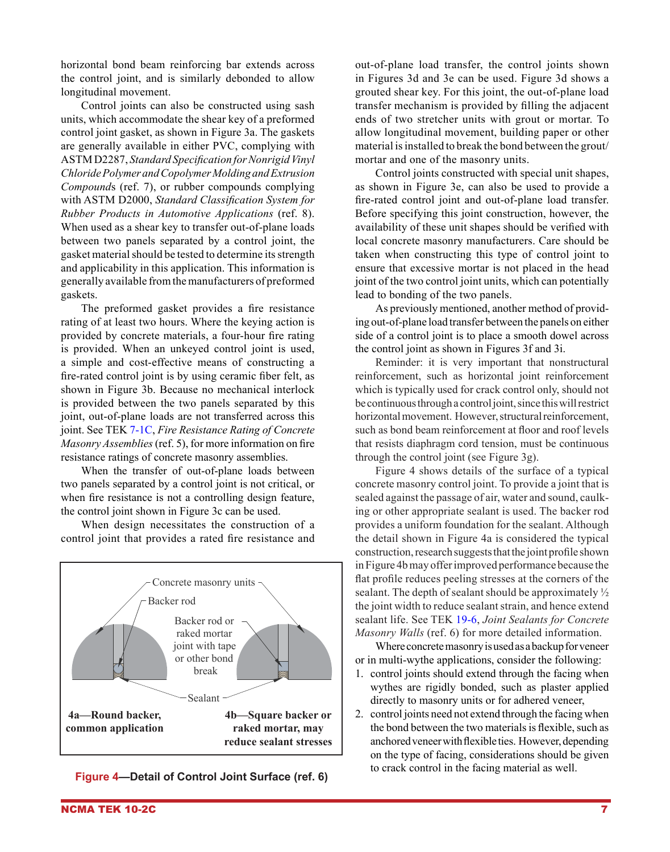horizontal bond beam reinforcing bar extends across the control joint, and is similarly debonded to allow longitudinal movement.

Control joints can also be constructed using sash units, which accommodate the shear key of a preformed control joint gasket, as shown in Figure 3a. The gaskets are generally available in either PVC, complying with ASTM D2287, *Standard Specification for Nonrigid Vinyl Chloride Polymer and Copolymer Molding and Extrusion Compound*s (ref. 7), or rubber compounds complying with ASTM D2000, *Standard Classification System for Rubber Products in Automotive Applications* (ref. 8). When used as a shear key to transfer out-of-plane loads between two panels separated by a control joint, the gasket material should be tested to determine its strength and applicability in this application. This information is generally available from the manufacturers of preformed gaskets.

The preformed gasket provides a fire resistance rating of at least two hours. Where the keying action is provided by concrete materials, a four-hour fire rating is provided. When an unkeyed control joint is used, a simple and cost-effective means of constructing a fire-rated control joint is by using ceramic fiber felt, as shown in Figure 3b. Because no mechanical interlock is provided between the two panels separated by this joint, out-of-plane loads are not transferred across this joint. See TEK [7-1C](http://www.ncma.org/etek/Pages/Manualviewer.aspx?filename=TEK 07-01C.pdf), *Fire Resistance Rating of Concrete Masonry Assemblies* (ref. 5), for more information on fire resistance ratings of concrete masonry assemblies.

When the transfer of out-of-plane loads between two panels separated by a control joint is not critical, or when fire resistance is not a controlling design feature, the control joint shown in Figure 3c can be used.

When design necessitates the construction of a control joint that provides a rated fire resistance and



**Figure 4—Detail of Control Joint Surface (ref. 6)**

out-of-plane load transfer, the control joints shown in Figures 3d and 3e can be used. Figure 3d shows a grouted shear key. For this joint, the out-of-plane load transfer mechanism is provided by filling the adjacent ends of two stretcher units with grout or mortar. To allow longitudinal movement, building paper or other material is installed to break the bond between the grout/ mortar and one of the masonry units.

Control joints constructed with special unit shapes, as shown in Figure 3e, can also be used to provide a fire-rated control joint and out-of-plane load transfer. Before specifying this joint construction, however, the availability of these unit shapes should be verified with local concrete masonry manufacturers. Care should be taken when constructing this type of control joint to ensure that excessive mortar is not placed in the head joint of the two control joint units, which can potentially lead to bonding of the two panels.

As previously mentioned, another method of providing out-of-plane load transfer between the panels on either side of a control joint is to place a smooth dowel across the control joint as shown in Figures 3f and 3i.

Reminder: it is very important that nonstructural reinforcement, such as horizontal joint reinforcement which is typically used for crack control only, should not be continuous through a control joint, since this will restrict horizontal movement. However, structural reinforcement, such as bond beam reinforcement at floor and roof levels that resists diaphragm cord tension, must be continuous through the control joint (see Figure 3g).

Figure 4 shows details of the surface of a typical concrete masonry control joint. To provide a joint that is sealed against the passage of air, water and sound, caulking or other appropriate sealant is used. The backer rod provides a uniform foundation for the sealant. Although the detail shown in Figure 4a is considered the typical construction, research suggests that the joint profile shown in Figure 4b may offer improved performance because the flat profile reduces peeling stresses at the corners of the sealant. The depth of sealant should be approximately ½ the joint width to reduce sealant strain, and hence extend sealant life. See TEK [19-6](http://www.ncma.org/etek/Pages/Manualviewer.aspx?filename=TEK 19-06.pdf), *Joint Sealants for Concrete Masonry Walls* (ref. 6) for more detailed information.

Where concrete masonry is used as a backup for veneer or in multi-wythe applications, consider the following:

- 1. control joints should extend through the facing when wythes are rigidly bonded, such as plaster applied directly to masonry units or for adhered veneer,
- 2. control joints need not extend through the facing when the bond between the two materials is flexible, such as anchored veneer with flexible ties. However, depending on the type of facing, considerations should be given to crack control in the facing material as well.